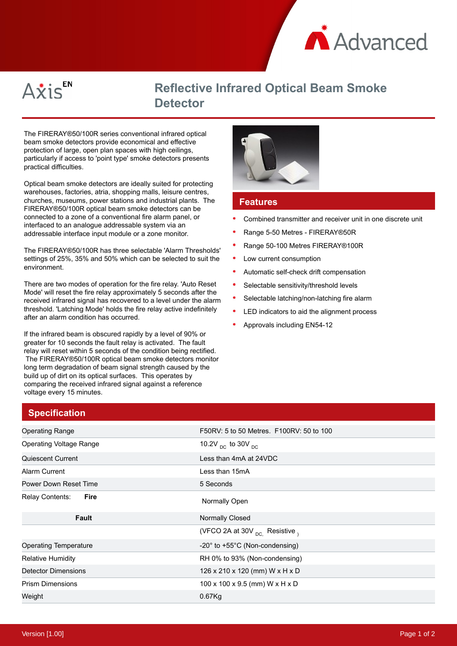



## **Reflective Infrared Optical Beam Smoke Detector**

The FIRERAY®50/100R series conventional infrared optical beam smoke detectors provide economical and effective protection of large, open plan spaces with high ceilings, particularly if access to 'point type' smoke detectors presents practical difficulties.

Optical beam smoke detectors are ideally suited for protecting warehouses, factories, atria, shopping malls, leisure centres, churches, museums, power stations and industrial plants. The FIRERAY®50/100R optical beam smoke detectors can be connected to a zone of a conventional fire alarm panel, or interfaced to an analogue addressable system via an addressable interface input module or a zone monitor.

The FIRERAY®50/100R has three selectable 'Alarm Thresholds' settings of 25%, 35% and 50% which can be selected to suit the environment.

There are two modes of operation for the fire relay. 'Auto Reset Mode' will reset the fire relay approximately 5 seconds after the received infrared signal has recovered to a level under the alarm threshold. 'Latching Mode' holds the fire relay active indefinitely after an alarm condition has occurred.

If the infrared beam is obscured rapidly by a level of 90% or greater for 10 seconds the fault relay is activated. The fault relay will reset within 5 seconds of the condition being rectified. The FIRERAY®50/100R optical beam smoke detectors monitor long term degradation of beam signal strength caused by the build up of dirt on its optical surfaces. This operates by comparing the received infrared signal against a reference voltage every 15 minutes.



## **Features**

- Combined transmitter and receiver unit in one discrete unit
- Range 5-50 Metres FIRERAY®50R
- Range 50-100 Metres FIRERAY®100R
- Low current consumption
- Automatic self-check drift compensation
- Selectable sensitivity/threshold levels
- $\bullet$ Selectable latching/non-latching fire alarm
- LED indicators to aid the alignment process
- Approvals including EN54-12

| <b>Operating Range</b>         | F50RV: 5 to 50 Metres. F100RV: 50 to 100          |
|--------------------------------|---------------------------------------------------|
| <b>Operating Voltage Range</b> | 10.2V <sub>DC</sub> to 30V <sub>DC</sub>          |
| Quiescent Current              | Less than 4mA at 24VDC                            |
| Alarm Current                  | Less than 15mA                                    |
| Power Down Reset Time          | 5 Seconds                                         |
| Relay Contents:<br>Fire        | Normally Open                                     |
| Fault                          | Normally Closed                                   |
|                                | (VFCO 2A at 30V <sub>DC.</sub> Resistive,         |
| <b>Operating Temperature</b>   |                                                   |
|                                | $-20^{\circ}$ to $+55^{\circ}$ C (Non-condensing) |
| <b>Relative Humidity</b>       | RH 0% to 93% (Non-condensing)                     |
| <b>Detector Dimensions</b>     | 126 x 210 x 120 (mm) W x H x D                    |
| <b>Prism Dimensions</b>        | 100 x 100 x 9.5 (mm) W x H x D                    |

**Specification**